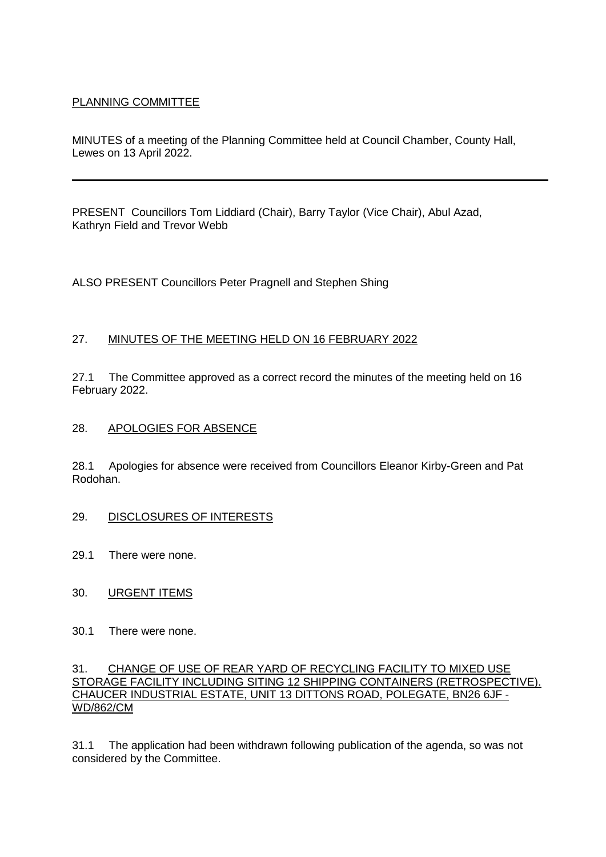# PLANNING COMMITTEE

MINUTES of a meeting of the Planning Committee held at Council Chamber, County Hall, Lewes on 13 April 2022.

PRESENT Councillors Tom Liddiard (Chair), Barry Taylor (Vice Chair), Abul Azad, Kathryn Field and Trevor Webb

ALSO PRESENT Councillors Peter Pragnell and Stephen Shing

### 27. MINUTES OF THE MEETING HELD ON 16 FEBRUARY 2022

27.1 The Committee approved as a correct record the minutes of the meeting held on 16 February 2022.

### 28. APOLOGIES FOR ABSENCE

28.1 Apologies for absence were received from Councillors Eleanor Kirby-Green and Pat Rodohan.

### 29. DISCLOSURES OF INTERESTS

- 29.1 There were none.
- 30. URGENT ITEMS
- 30.1 There were none.

#### 31. CHANGE OF USE OF REAR YARD OF RECYCLING FACILITY TO MIXED USE STORAGE FACILITY INCLUDING SITING 12 SHIPPING CONTAINERS (RETROSPECTIVE). CHAUCER INDUSTRIAL ESTATE, UNIT 13 DITTONS ROAD, POLEGATE, BN26 6JF - WD/862/CM

31.1 The application had been withdrawn following publication of the agenda, so was not considered by the Committee.